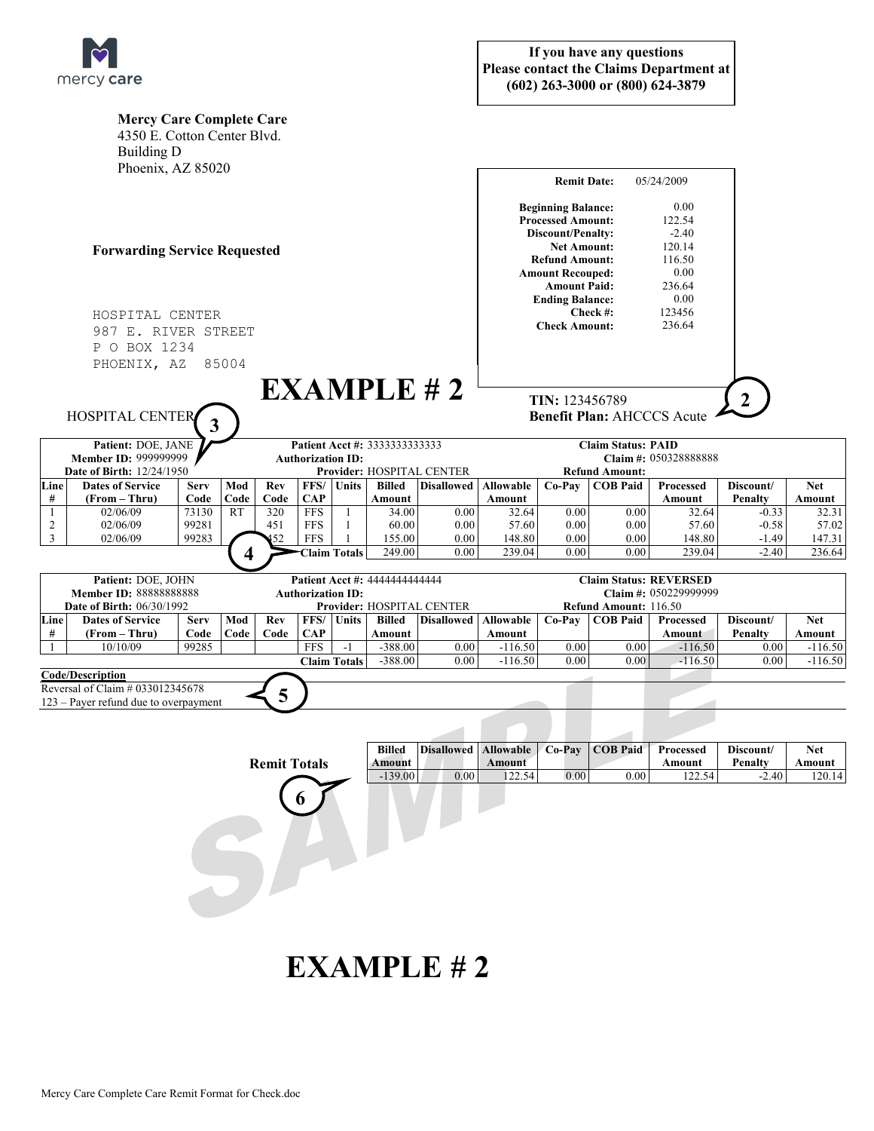

|                                                                                                                | <b>Mercy Care Complete Care</b> |                |                         |                           |                          |                     |                |                           |                                                                 |                                                      |                  |                           |                    |                |  |
|----------------------------------------------------------------------------------------------------------------|---------------------------------|----------------|-------------------------|---------------------------|--------------------------|---------------------|----------------|---------------------------|-----------------------------------------------------------------|------------------------------------------------------|------------------|---------------------------|--------------------|----------------|--|
|                                                                                                                | 4350 E. Cotton Center Blvd.     |                |                         |                           |                          |                     |                |                           |                                                                 |                                                      |                  |                           |                    |                |  |
|                                                                                                                | <b>Building D</b>               |                |                         |                           |                          |                     |                |                           |                                                                 |                                                      |                  |                           |                    |                |  |
| Phoenix, AZ 85020                                                                                              |                                 |                |                         |                           |                          |                     |                |                           |                                                                 |                                                      |                  |                           |                    |                |  |
|                                                                                                                |                                 |                |                         |                           |                          |                     |                |                           | <b>Remit Date:</b><br>05/24/2009                                |                                                      |                  |                           |                    |                |  |
|                                                                                                                |                                 |                |                         |                           |                          |                     |                |                           |                                                                 | <b>Beginning Balance:</b>                            |                  | 0.00                      |                    |                |  |
| <b>Forwarding Service Requested</b>                                                                            |                                 |                |                         |                           |                          |                     |                |                           | <b>Processed Amount:</b>                                        |                                                      |                  | 122.54                    |                    |                |  |
|                                                                                                                |                                 |                |                         |                           |                          |                     |                |                           | Discount/Penalty:                                               |                                                      |                  | $-2.40$                   |                    |                |  |
|                                                                                                                |                                 |                |                         |                           |                          |                     |                |                           | 120.14<br><b>Net Amount:</b><br>116.50<br><b>Refund Amount:</b> |                                                      |                  |                           |                    |                |  |
|                                                                                                                |                                 |                |                         |                           |                          |                     |                |                           |                                                                 | 0.00<br><b>Amount Recouped:</b>                      |                  |                           |                    |                |  |
|                                                                                                                |                                 |                |                         |                           |                          |                     |                |                           |                                                                 | 236.64<br><b>Amount Paid:</b>                        |                  |                           |                    |                |  |
|                                                                                                                |                                 |                |                         |                           |                          |                     |                |                           |                                                                 | 0.00<br><b>Ending Balance:</b>                       |                  |                           |                    |                |  |
| HOSPITAL CENTER                                                                                                |                                 |                |                         |                           |                          |                     |                |                           |                                                                 | 123456<br>Check #:<br><b>Check Amount:</b><br>236.64 |                  |                           |                    |                |  |
| 987 E. RIVER STREET                                                                                            |                                 |                |                         |                           |                          |                     |                |                           |                                                                 |                                                      |                  |                           |                    |                |  |
| P O BOX 1234                                                                                                   |                                 |                |                         |                           |                          |                     |                |                           |                                                                 |                                                      |                  |                           |                    |                |  |
|                                                                                                                | PHOENIX, AZ                     |                | 85004                   |                           |                          |                     |                |                           |                                                                 |                                                      |                  |                           |                    |                |  |
|                                                                                                                |                                 |                |                         |                           |                          |                     |                |                           |                                                                 |                                                      |                  |                           |                    |                |  |
| EXAMPLE H2                                                                                                     |                                 |                |                         |                           |                          |                     |                |                           | TIN: 123456789<br>$\overline{2}$                                |                                                      |                  |                           |                    |                |  |
| <b>HOSPITAL CENTER</b><br>3                                                                                    |                                 |                |                         |                           |                          |                     |                |                           | <b>Benefit Plan: AHCCCS Acute</b>                               |                                                      |                  |                           |                    |                |  |
|                                                                                                                |                                 |                |                         |                           |                          |                     |                |                           |                                                                 |                                                      |                  |                           |                    |                |  |
| Patient: DOE, JANE<br>Patient Acct #: 3333333333333<br><b>Member ID: 999999999</b><br><b>Authorization ID:</b> |                                 |                |                         |                           |                          |                     |                |                           | <b>Claim Status: PAID</b><br>Claim #: 050328888888              |                                                      |                  |                           |                    |                |  |
| <b>Date of Birth: 12/24/1950</b>                                                                               |                                 |                |                         | Provider: HOSPITAL CENTER |                          |                     |                |                           | <b>Refund Amount:</b>                                           |                                                      |                  |                           |                    |                |  |
| Line                                                                                                           | <b>Dates of Service</b>         | <b>Serv</b>    | Mod                     | Rev                       | FFS/                     | Units               | <b>Billed</b>  | <b>Disallowed</b>         | <b>Allowable</b>                                                | Co-Pay                                               | <b>COB Paid</b>  | <b>Processed</b>          | Discount/          | <b>Net</b>     |  |
| #                                                                                                              | (From - Thru)                   | Code           | Code                    | Code                      | <b>CAP</b>               |                     | Amount         |                           | Amount                                                          |                                                      |                  | Amount                    | <b>Penalty</b>     | Amount         |  |
| 1<br>$\overline{2}$                                                                                            | 02/06/09<br>02/06/09            | 73130<br>99281 | RT                      | 320<br>451                | <b>FFS</b><br><b>FFS</b> | -1<br>1             | 34.00<br>60.00 | 0.00                      | 32.64<br>57.60                                                  | 0.00<br>0.00                                         | 0.00<br>0.00     | 32.64                     | $-0.33$            | 32.31<br>57.02 |  |
| $\mathfrak{Z}$                                                                                                 | 02/06/09                        | 99283          |                         |                           | <b>FFS</b>               | -1                  | 155.00         | 0.00<br>0.00              | 148.80                                                          | 0.00                                                 | 0.00             | 57.60<br>148.80           | $-0.58$<br>$-1.49$ | 147.31         |  |
|                                                                                                                |                                 |                | $\overline{\mathbf{4}}$ |                           | Claim Totals             |                     | 249.00         | 0.00                      | 239.04                                                          | 0.00                                                 | 0.00             | 239.04                    | $-2.40$            | 236.64         |  |
|                                                                                                                |                                 |                |                         |                           |                          |                     |                |                           |                                                                 |                                                      |                  |                           |                    |                |  |
| Patient: DOE, JOHN<br>Patient Acct #: 4444444444444                                                            |                                 |                |                         |                           |                          |                     |                |                           |                                                                 | <b>Claim Status: REVERSED</b>                        |                  |                           |                    |                |  |
| <b>Member ID: 88888888888</b><br><b>Date of Birth: 06/30/1992</b>                                              |                                 |                |                         |                           | <b>Authorization ID:</b> |                     |                | Provider: HOSPITAL CENTER | Claim #: 050229999999<br>Refund Amount: 116.50                  |                                                      |                  |                           |                    |                |  |
| Line                                                                                                           | <b>Dates of Service</b>         | <b>Serv</b>    | Mod                     | Rev                       | FFS/                     | <b>Units</b>        | <b>Billed</b>  | <b>Disallowed</b>         | <b>Allowable</b>                                                | Co-Pay                                               | <b>COB Paid</b>  | <b>Processed</b>          | Discount/          | <b>Net</b>     |  |
| #                                                                                                              | (From – Thru)                   | Code           | Code                    | Code                      | <b>CAP</b>               |                     | Amount         |                           | Amount                                                          |                                                      |                  | Amount                    | <b>Penalty</b>     | Amount         |  |
|                                                                                                                | 10/10/09                        | 99285          |                         |                           | <b>FFS</b>               | $-1$                | $-388.00$      | 0.00                      | $-116.50$                                                       | 0.00                                                 | 0.00             | $-116.50$                 | 0.00               | $-116.50$      |  |
|                                                                                                                |                                 |                |                         |                           |                          | <b>Claim Totals</b> | $-388.00$      | 0.00                      | $-116.50$                                                       | 0.00                                                 | 0.00             | $-116.50$                 | 0.00               | $-116.50$      |  |
| Code/Description<br>Reversal of Claim # 033012345678                                                           |                                 |                |                         |                           |                          |                     |                |                           |                                                                 |                                                      |                  |                           |                    |                |  |
| 5<br>123 – Payer refund due to overpayment                                                                     |                                 |                |                         |                           |                          |                     |                |                           |                                                                 |                                                      |                  |                           |                    |                |  |
|                                                                                                                |                                 |                |                         |                           |                          |                     |                |                           |                                                                 |                                                      |                  |                           |                    |                |  |
|                                                                                                                |                                 |                |                         |                           |                          |                     |                |                           |                                                                 |                                                      |                  |                           |                    |                |  |
|                                                                                                                |                                 |                |                         |                           |                          |                     | <b>Billed</b>  | <b>Disallowed</b>         | <b>Allowable</b>                                                | Co-Pay                                               | <b>COB Paid</b>  | Processed                 | Discount/          | <b>Net</b>     |  |
| <b>Remit Totals</b>                                                                                            |                                 |                |                         |                           |                          | Amount<br>$-139.00$ | 0.00           | Amount<br>122.54          | 0.00                                                            | 0.00                                                 | Amount<br>122.54 | <b>Penalty</b><br>$-2.40$ | Amount             |                |  |
|                                                                                                                |                                 |                |                         |                           |                          |                     |                |                           |                                                                 |                                                      |                  |                           |                    | 120.14         |  |
|                                                                                                                |                                 |                |                         |                           |                          |                     |                |                           |                                                                 |                                                      |                  |                           |                    |                |  |
|                                                                                                                |                                 |                |                         |                           |                          |                     |                |                           |                                                                 |                                                      |                  |                           |                    |                |  |
|                                                                                                                |                                 |                |                         |                           |                          |                     |                |                           |                                                                 |                                                      |                  |                           |                    |                |  |
|                                                                                                                |                                 |                |                         |                           |                          |                     |                |                           |                                                                 |                                                      |                  |                           |                    |                |  |
|                                                                                                                |                                 |                |                         |                           |                          |                     |                |                           |                                                                 |                                                      |                  |                           |                    |                |  |
|                                                                                                                |                                 |                |                         |                           |                          |                     |                |                           |                                                                 |                                                      |                  |                           |                    |                |  |
|                                                                                                                |                                 |                |                         |                           |                          |                     |                |                           |                                                                 |                                                      |                  |                           |                    |                |  |
|                                                                                                                |                                 |                |                         |                           |                          |                     |                |                           |                                                                 |                                                      |                  |                           |                    |                |  |

## **EXAMPLE # 2**